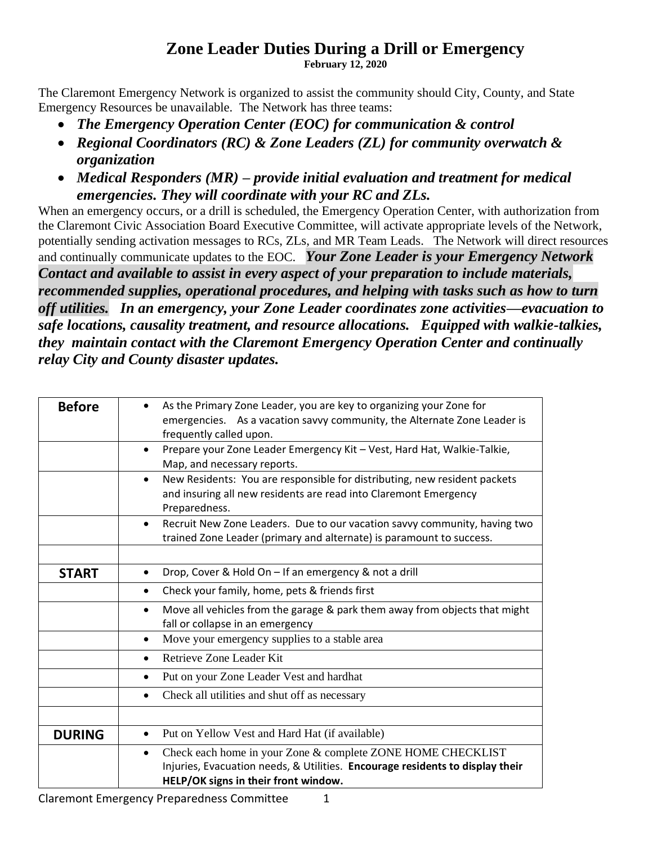## **Zone Leader Duties During a Drill or Emergency**

**February 12, 2020**

The Claremont Emergency Network is organized to assist the community should City, County, and State Emergency Resources be unavailable. The Network has three teams:

- *The Emergency Operation Center (EOC) for communication & control*
- *Regional Coordinators (RC) & Zone Leaders (ZL) for community overwatch & organization*
- *Medical Responders (MR) – provide initial evaluation and treatment for medical emergencies. They will coordinate with your RC and ZLs.*

When an emergency occurs, or a drill is scheduled, the Emergency Operation Center, with authorization from the Claremont Civic Association Board Executive Committee, will activate appropriate levels of the Network, potentially sending activation messages to RCs, ZLs, and MR Team Leads. The Network will direct resources and continually communicate updates to the EOC. *Your Zone Leader is your Emergency Network Contact and available to assist in every aspect of your preparation to include materials, recommended supplies, operational procedures, and helping with tasks such as how to turn off utilities. In an emergency, your Zone Leader coordinates zone activities—evacuation to safe locations, causality treatment, and resource allocations. Equipped with walkie-talkies, they maintain contact with the Claremont Emergency Operation Center and continually relay City and County disaster updates.* 

| <b>Before</b> | As the Primary Zone Leader, you are key to organizing your Zone for<br>emergencies. As a vacation savvy community, the Alternate Zone Leader is<br>frequently called upon.<br>Prepare your Zone Leader Emergency Kit - Vest, Hard Hat, Walkie-Talkie,<br>$\bullet$<br>Map, and necessary reports. |
|---------------|---------------------------------------------------------------------------------------------------------------------------------------------------------------------------------------------------------------------------------------------------------------------------------------------------|
|               | New Residents: You are responsible for distributing, new resident packets<br>$\bullet$<br>and insuring all new residents are read into Claremont Emergency<br>Preparedness.                                                                                                                       |
|               | Recruit New Zone Leaders. Due to our vacation savvy community, having two<br>$\bullet$<br>trained Zone Leader (primary and alternate) is paramount to success.                                                                                                                                    |
| <b>START</b>  | Drop, Cover & Hold On - If an emergency & not a drill<br>Check your family, home, pets & friends first<br>$\bullet$                                                                                                                                                                               |
|               | Move all vehicles from the garage & park them away from objects that might<br>$\bullet$<br>fall or collapse in an emergency                                                                                                                                                                       |
|               | Move your emergency supplies to a stable area<br>$\bullet$                                                                                                                                                                                                                                        |
|               | Retrieve Zone Leader Kit                                                                                                                                                                                                                                                                          |
|               | Put on your Zone Leader Vest and hardhat                                                                                                                                                                                                                                                          |
|               | Check all utilities and shut off as necessary<br>٠                                                                                                                                                                                                                                                |
|               |                                                                                                                                                                                                                                                                                                   |
| <b>DURING</b> | Put on Yellow Vest and Hard Hat (if available)<br>$\bullet$                                                                                                                                                                                                                                       |
|               | Check each home in your Zone & complete ZONE HOME CHECKLIST<br>$\bullet$<br>Injuries, Evacuation needs, & Utilities. Encourage residents to display their<br>HELP/OK signs in their front window.                                                                                                 |